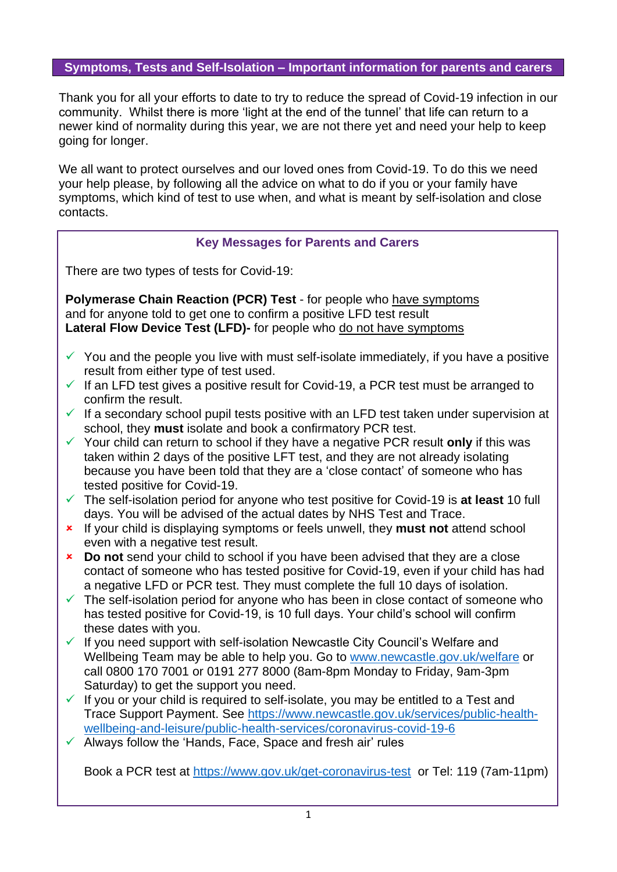# **Symptoms, Tests and Self-Isolation – Important information for parents and carers**

Thank you for all your efforts to date to try to reduce the spread of Covid-19 infection in our community. Whilst there is more 'light at the end of the tunnel' that life can return to a newer kind of normality during this year, we are not there yet and need your help to keep going for longer.

We all want to protect ourselves and our loved ones from Covid-19. To do this we need your help please, by following all the advice on what to do if you or your family have symptoms, which kind of test to use when, and what is meant by self-isolation and close contacts.

| <b>Key Messages for Parents and Carers</b> |  |  |  |
|--------------------------------------------|--|--|--|
|                                            |  |  |  |

There are two types of tests for Covid-19:

**Polymerase Chain Reaction (PCR) Test** - for people who have symptoms and for anyone told to get one to confirm a positive LFD test result **Lateral Flow Device Test (LFD)-** for people who do not have symptoms

- $\checkmark$  You and the people you live with must self-isolate immediately, if you have a positive result from either type of test used.
- $\checkmark$  If an LFD test gives a positive result for Covid-19, a PCR test must be arranged to confirm the result.
- $\checkmark$  If a secondary school pupil tests positive with an LFD test taken under supervision at school, they **must** isolate and book a confirmatory PCR test.
- ✓ Your child can return to school if they have a negative PCR result **only** if this was taken within 2 days of the positive LFT test, and they are not already isolating because you have been told that they are a 'close contact' of someone who has tested positive for Covid-19.
- ✓ The self-isolation period for anyone who test positive for Covid-19 is **at least** 10 full days. You will be advised of the actual dates by NHS Test and Trace.
- If your child is displaying symptoms or feels unwell, they **must not** attend school even with a negative test result.
- **Do not** send your child to school if you have been advised that they are a close contact of someone who has tested positive for Covid-19, even if your child has had a negative LFD or PCR test. They must complete the full 10 days of isolation.
- $\checkmark$  The self-isolation period for anyone who has been in close contact of someone who has tested positive for Covid-19, is 10 full days. Your child's school will confirm these dates with you.
- $\checkmark$  If you need support with self-isolation Newcastle City Council's Welfare and Wellbeing Team may be able to help you. Go to [www.newcastle.gov.uk/welfare](http://www.newcastle.gov.uk/welfarei) or call 0800 170 7001 or 0191 277 8000 (8am-8pm Monday to Friday, 9am-3pm Saturday) to get the support you need.
- $\checkmark$  If you or your child is required to self-isolate, you may be entitled to a Test and Trace Support Payment. See [https://www.newcastle.gov.uk/services/public-health](https://www.newcastle.gov.uk/services/public-health-wellbeing-and-leisure/public-health-services/coronavirus-covid-19-6)[wellbeing-and-leisure/public-health-services/coronavirus-covid-19-6](https://www.newcastle.gov.uk/services/public-health-wellbeing-and-leisure/public-health-services/coronavirus-covid-19-6)
- $\checkmark$  Always follow the 'Hands, Face, Space and fresh air' rules

Book a PCR test at<https://www.gov.uk/get-coronavirus-test>or Tel: 119 (7am-11pm)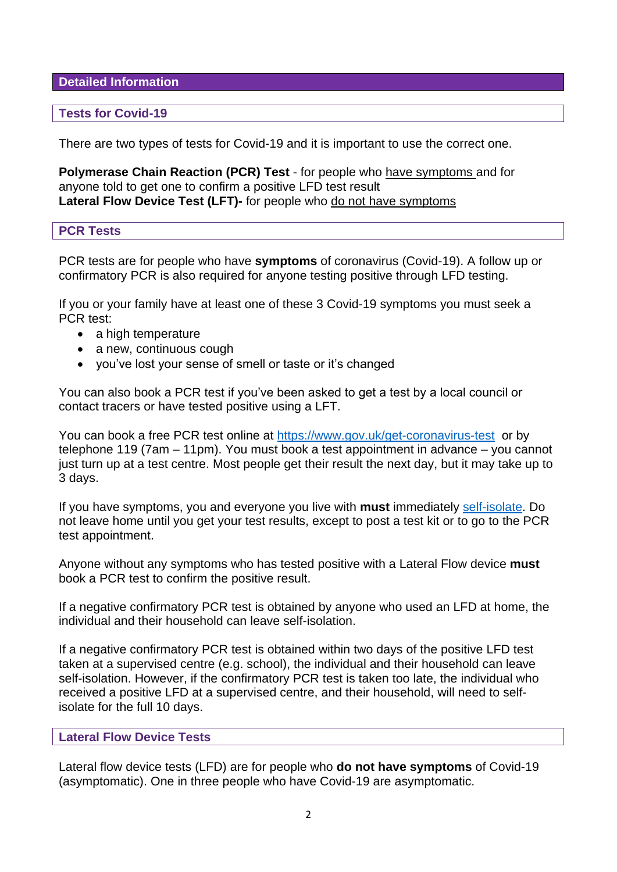**Detailed Information** 

#### **Tests for Covid-19**

There are two types of tests for Covid-19 and it is important to use the correct one.

**Polymerase Chain Reaction (PCR) Test** - for people who have symptoms and for anyone told to get one to confirm a positive LFD test result **Lateral Flow Device Test (LFT)-** for people who do not have symptoms

#### **PCR Tests**

PCR tests are for people who have **symptoms** of coronavirus (Covid-19). A follow up or confirmatory PCR is also required for anyone testing positive through LFD testing.

If you or your family have at least one of these 3 Covid-19 symptoms you must seek a PCR test:

- a high temperature
- a new, continuous cough
- you've lost your sense of smell or taste or it's changed

You can also book a PCR test if you've been asked to get a test by a local council or contact tracers or have tested positive using a LFT.

You can book a free PCR test online at <https://www.gov.uk/get-coronavirus-test> or by telephone 119 (7am – 11pm). You must book a test appointment in advance – you cannot just turn up at a test centre. Most people get their result the next day, but it may take up to 3 days.

If you have symptoms, you and everyone you live with **must** immediately [self-isolate.](https://www.nhs.uk/conditions/coronavirus-covid-19/self-isolation-and-treatment/when-to-self-isolate-and-what-to-do/) Do not leave home until you get your test results, except to post a test kit or to go to the PCR test appointment.

Anyone without any symptoms who has tested positive with a Lateral Flow device **must** book a PCR test to confirm the positive result.

If a negative confirmatory PCR test is obtained by anyone who used an LFD at home, the individual and their household can leave self-isolation.

If a negative confirmatory PCR test is obtained within two days of the positive LFD test taken at a supervised centre (e.g. school), the individual and their household can leave self-isolation. However, if the confirmatory PCR test is taken too late, the individual who received a positive LFD at a supervised centre, and their household, will need to selfisolate for the full 10 days.

#### **Lateral Flow Device Tests**

Lateral flow device tests (LFD) are for people who **do not have symptoms** of Covid-19 (asymptomatic). One in three people who have Covid-19 are asymptomatic.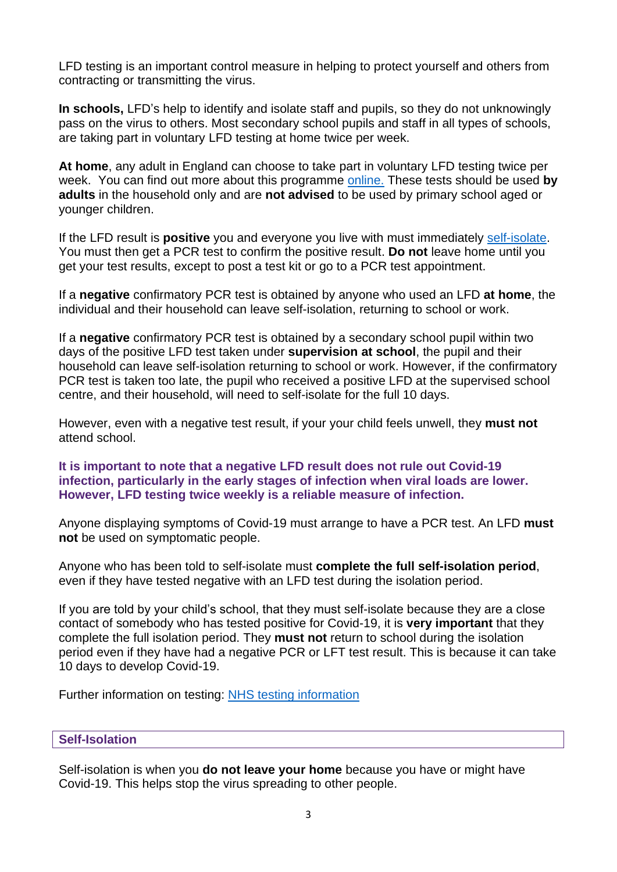LFD testing is an important control measure in helping to protect yourself and others from contracting or transmitting the virus.

**In schools,** LFD's help to identify and isolate staff and pupils, so they do not unknowingly pass on the virus to others. Most secondary school pupils and staff in all types of schools, are taking part in voluntary LFD testing at home twice per week.

**At home**, any adult in England can choose to take part in voluntary LFD testing twice per week. You can find out more about this programme [online.](https://www.gov.uk/order-coronavirus-rapid-lateral-flow-tests) These tests should be used **by adults** in the household only and are **not advised** to be used by primary school aged or younger children.

If the LFD result is **positive** you and everyone you live with must immediately [self-isolate.](https://www.nhs.uk/conditions/coronavirus-covid-19/self-isolation-and-treatment/when-to-self-isolate-and-what-to-do/) You must then get a PCR test to confirm the positive result. **Do not** leave home until you get your test results, except to post a test kit or go to a PCR test appointment.

If a **negative** confirmatory PCR test is obtained by anyone who used an LFD **at home**, the individual and their household can leave self-isolation, returning to school or work.

If a **negative** confirmatory PCR test is obtained by a secondary school pupil within two days of the positive LFD test taken under **supervision at school**, the pupil and their household can leave self-isolation returning to school or work. However, if the confirmatory PCR test is taken too late, the pupil who received a positive LFD at the supervised school centre, and their household, will need to self-isolate for the full 10 days.

However, even with a negative test result, if your your child feels unwell, they **must not** attend school.

## **It is important to note that a negative LFD result does not rule out Covid-19 infection, particularly in the early stages of infection when viral loads are lower. However, LFD testing twice weekly is a reliable measure of infection.**

Anyone displaying symptoms of Covid-19 must arrange to have a PCR test. An LFD **must not** be used on symptomatic people.

Anyone who has been told to self-isolate must **complete the full self-isolation period**, even if they have tested negative with an LFD test during the isolation period.

If you are told by your child's school, that they must self-isolate because they are a close contact of somebody who has tested positive for Covid-19, it is **very important** that they complete the full isolation period. They **must not** return to school during the isolation period even if they have had a negative PCR or LFT test result. This is because it can take 10 days to develop Covid-19.

Further information on testing: [NHS testing information](https://www.nhs.uk/conditions/coronavirus-covid-19/testing-and-tracing/what-your-test-result-means/)

## **Self-Isolation**

Self-isolation is when you **do not leave your home** because you have or might have Covid-19. This helps stop the virus spreading to other people.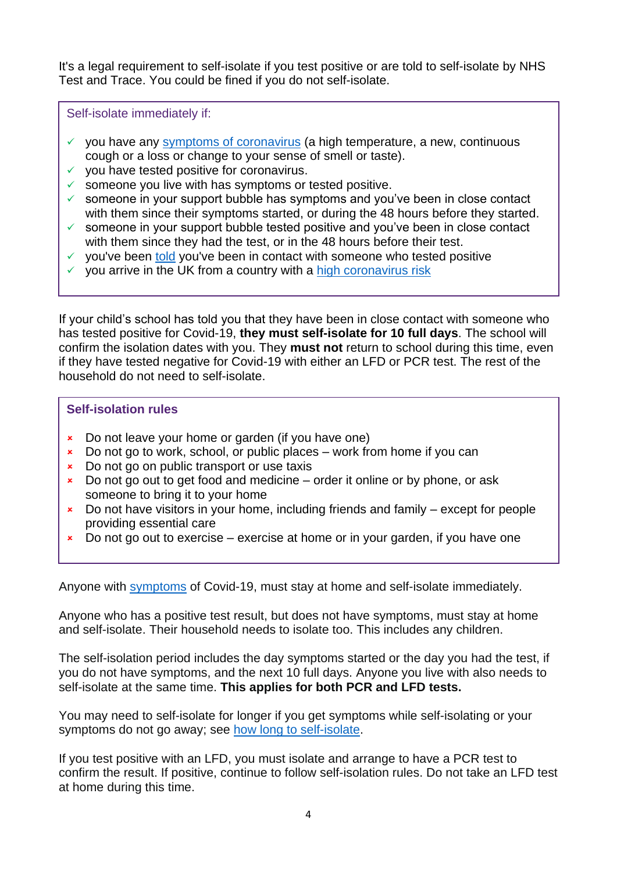It's a legal requirement to self-isolate if you test positive or are told to self-isolate by NHS Test and Trace. You could be fined if you do not self-isolate.

Self-isolate immediately if:

- $\checkmark$  you have any [symptoms of coronavirus](https://www.nhs.uk/conditions/coronavirus-covid-19/symptoms/) (a high temperature, a new, continuous cough or a loss or change to your sense of smell or taste).
- $\checkmark$  you have tested positive for coronavirus.
- $\checkmark$  someone you live with has symptoms or tested positive.
- $\checkmark$  someone in your support bubble has symptoms and you've been in close contact with them since their symptoms started, or during the 48 hours before they started.
- $\checkmark$  someone in your support bubble tested positive and you've been in close contact with them since they had the test, or in the 48 hours before their test.
- ✓ you've been [told](https://www.nhs.uk/conditions/coronavirus-covid-19/testing-and-tracing/nhs-test-and-trace-if-youve-been-in-contact-with-a-person-who-has-coronavirus/) you've been in contact with someone who tested positive
- $\checkmark$  you arrive in the UK from a country with a [high coronavirus risk](https://www.gov.uk/guidance/how-to-quarantine-when-you-arrive-in-england)

If your child's school has told you that they have been in close contact with someone who has tested positive for Covid-19, **they must self-isolate for 10 full days**. The school will confirm the isolation dates with you. They **must not** return to school during this time, even if they have tested negative for Covid-19 with either an LFD or PCR test. The rest of the household do not need to self-isolate.

## **Self-isolation rules**

- **EX** Do not leave your home or garden (if you have one)
- $\star$  Do not go to work, school, or public places work from home if you can
- **EXECUTE:** Do not go on public transport or use taxis
- $\star$  Do not go out to get food and medicine order it online or by phone, or ask someone to bring it to your home
- $\overline{\phantom{a}}$  Do not have visitors in your home, including friends and family except for people providing essential care
- $\star$  Do not go out to exercise exercise at home or in your garden, if you have one

Anyone with [symptoms](https://www.gov.uk/government/publications/covid-19-stay-at-home-guidance/stay-at-home-guidance-for-households-with-possible-coronavirus-covid-19-infection#symptoms) of Covid-19, must stay at home and self-isolate immediately.

Anyone who has a positive test result, but does not have symptoms, must stay at home and self-isolate. Their household needs to isolate too. This includes any children.

The self-isolation period includes the day symptoms started or the day you had the test, if you do not have symptoms, and the next 10 full days. Anyone you live with also needs to self-isolate at the same time. **This applies for both PCR and LFD tests.**

You may need to self-isolate for longer if you get symptoms while self-isolating or your symptoms do not go away; see [how long to self-isolate.](https://www.nhs.uk/conditions/coronavirus-covid-19/self-isolation-and-treatment/how-long-to-self-isolate/)

If you test positive with an LFD, you must isolate and arrange to have a PCR test to confirm the result. If positive, continue to follow self-isolation rules. Do not take an LFD test at home during this time.